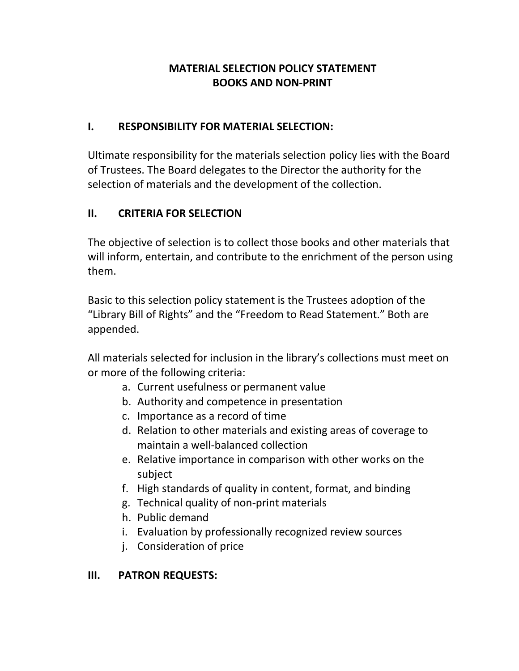#### **MATERIAL SELECTION POLICY STATEMENT BOOKS AND NON-PRINT**

#### **I. RESPONSIBILITY FOR MATERIAL SELECTION:**

Ultimate responsibility for the materials selection policy lies with the Board of Trustees. The Board delegates to the Director the authority for the selection of materials and the development of the collection.

#### **II. CRITERIA FOR SELECTION**

The objective of selection is to collect those books and other materials that will inform, entertain, and contribute to the enrichment of the person using them.

Basic to this selection policy statement is the Trustees adoption of the "Library Bill of Rights" and the "Freedom to Read Statement." Both are appended.

All materials selected for inclusion in the library's collections must meet on or more of the following criteria:

- a. Current usefulness or permanent value
- b. Authority and competence in presentation
- c. Importance as a record of time
- d. Relation to other materials and existing areas of coverage to maintain a well-balanced collection
- e. Relative importance in comparison with other works on the subject
- f. High standards of quality in content, format, and binding
- g. Technical quality of non-print materials
- h. Public demand
- i. Evaluation by professionally recognized review sources
- j. Consideration of price

# **III. PATRON REQUESTS:**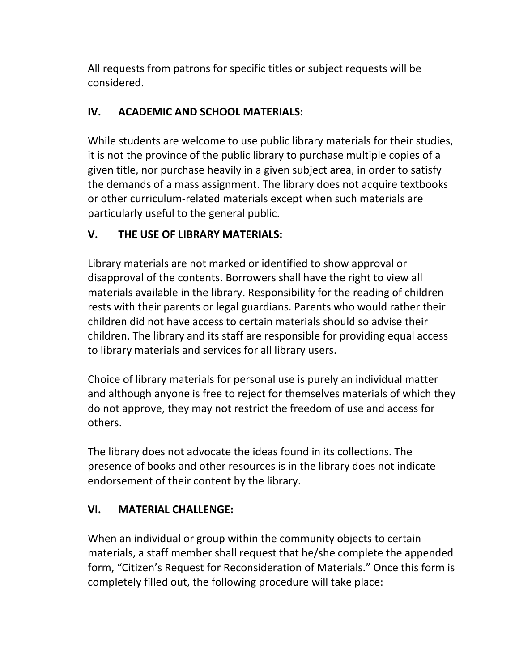All requests from patrons for specific titles or subject requests will be considered.

# **IV. ACADEMIC AND SCHOOL MATERIALS:**

While students are welcome to use public library materials for their studies, it is not the province of the public library to purchase multiple copies of a given title, nor purchase heavily in a given subject area, in order to satisfy the demands of a mass assignment. The library does not acquire textbooks or other curriculum-related materials except when such materials are particularly useful to the general public.

# **V. THE USE OF LIBRARY MATERIALS:**

Library materials are not marked or identified to show approval or disapproval of the contents. Borrowers shall have the right to view all materials available in the library. Responsibility for the reading of children rests with their parents or legal guardians. Parents who would rather their children did not have access to certain materials should so advise their children. The library and its staff are responsible for providing equal access to library materials and services for all library users.

Choice of library materials for personal use is purely an individual matter and although anyone is free to reject for themselves materials of which they do not approve, they may not restrict the freedom of use and access for others.

The library does not advocate the ideas found in its collections. The presence of books and other resources is in the library does not indicate endorsement of their content by the library.

#### **VI. MATERIAL CHALLENGE:**

When an individual or group within the community objects to certain materials, a staff member shall request that he/she complete the appended form, "Citizen's Request for Reconsideration of Materials." Once this form is completely filled out, the following procedure will take place: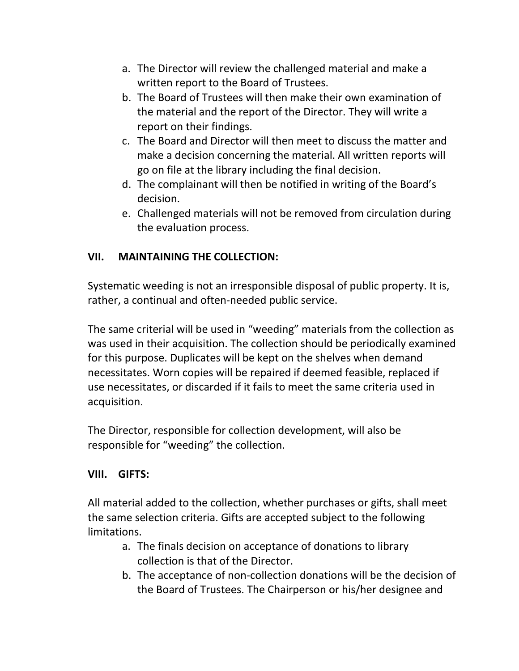- a. The Director will review the challenged material and make a written report to the Board of Trustees.
- b. The Board of Trustees will then make their own examination of the material and the report of the Director. They will write a report on their findings.
- c. The Board and Director will then meet to discuss the matter and make a decision concerning the material. All written reports will go on file at the library including the final decision.
- d. The complainant will then be notified in writing of the Board's decision.
- e. Challenged materials will not be removed from circulation during the evaluation process.

#### **VII. MAINTAINING THE COLLECTION:**

Systematic weeding is not an irresponsible disposal of public property. It is, rather, a continual and often-needed public service.

The same criterial will be used in "weeding" materials from the collection as was used in their acquisition. The collection should be periodically examined for this purpose. Duplicates will be kept on the shelves when demand necessitates. Worn copies will be repaired if deemed feasible, replaced if use necessitates, or discarded if it fails to meet the same criteria used in acquisition.

The Director, responsible for collection development, will also be responsible for "weeding" the collection.

#### **VIII. GIFTS:**

All material added to the collection, whether purchases or gifts, shall meet the same selection criteria. Gifts are accepted subject to the following limitations.

- a. The finals decision on acceptance of donations to library collection is that of the Director.
- b. The acceptance of non-collection donations will be the decision of the Board of Trustees. The Chairperson or his/her designee and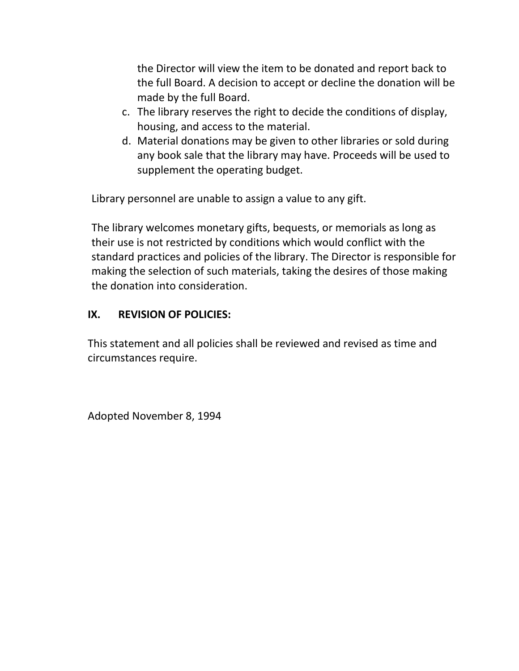the Director will view the item to be donated and report back to the full Board. A decision to accept or decline the donation will be made by the full Board.

- c. The library reserves the right to decide the conditions of display, housing, and access to the material.
- d. Material donations may be given to other libraries or sold during any book sale that the library may have. Proceeds will be used to supplement the operating budget.

Library personnel are unable to assign a value to any gift.

The library welcomes monetary gifts, bequests, or memorials as long as their use is not restricted by conditions which would conflict with the standard practices and policies of the library. The Director is responsible for making the selection of such materials, taking the desires of those making the donation into consideration.

#### **IX. REVISION OF POLICIES:**

This statement and all policies shall be reviewed and revised as time and circumstances require.

Adopted November 8, 1994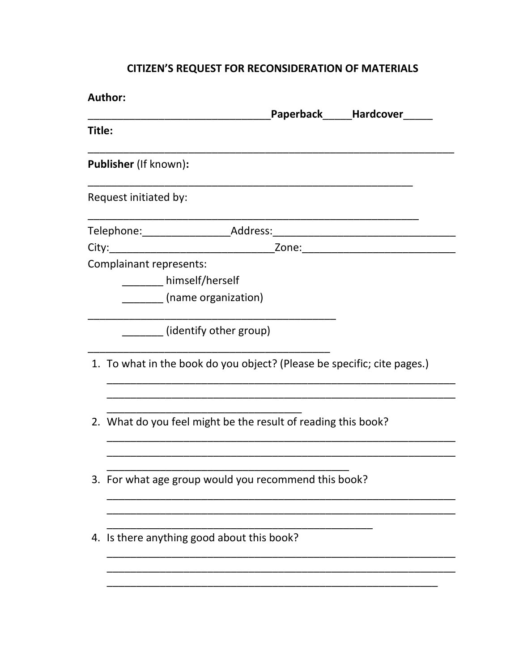# **CITIZEN'S REQUEST FOR RECONSIDERATION OF MATERIALS**

|        | <b>Author:</b>                                                          |                        |                     |
|--------|-------------------------------------------------------------------------|------------------------|---------------------|
|        |                                                                         |                        | Paperback Hardcover |
| Title: |                                                                         |                        |                     |
|        | Publisher (If known):                                                   |                        |                     |
|        | Request initiated by:                                                   |                        |                     |
|        |                                                                         |                        |                     |
|        |                                                                         |                        |                     |
|        | Complainant represents:                                                 |                        |                     |
|        | himself/herself                                                         |                        |                     |
|        | (name organization)                                                     |                        |                     |
|        |                                                                         | (identify other group) |                     |
|        | 1. To what in the book do you object? (Please be specific; cite pages.) |                        |                     |
|        | 2. What do you feel might be the result of reading this book?           |                        |                     |
|        | 3. For what age group would you recommend this book?                    |                        |                     |
|        | 4. Is there anything good about this book?                              |                        |                     |
|        |                                                                         |                        |                     |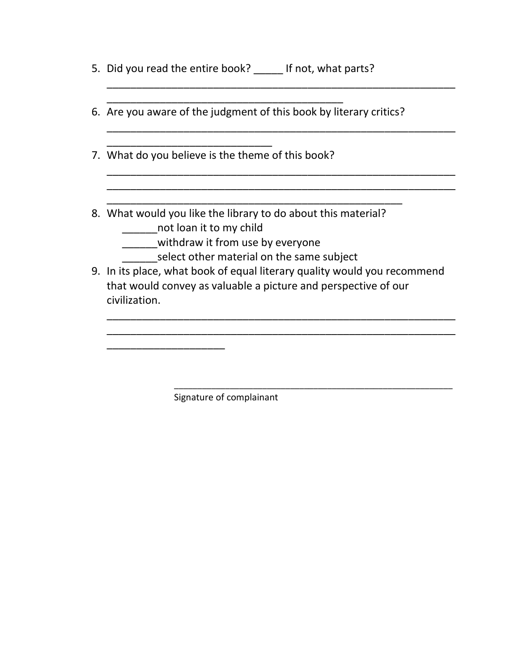| 5. Did you read the entire book? If not, what parts?                                                                                                        |
|-------------------------------------------------------------------------------------------------------------------------------------------------------------|
| 6. Are you aware of the judgment of this book by literary critics?                                                                                          |
| 7. What do you believe is the theme of this book?                                                                                                           |
| 8. What would you like the library to do about this material?                                                                                               |
| not loan it to my child<br>withdraw it from use by everyone<br>select other material on the same subject                                                    |
| 9. In its place, what book of equal literary quality would you recommend<br>that would convey as valuable a picture and perspective of our<br>civilization. |
|                                                                                                                                                             |

\_\_\_\_\_\_\_\_\_\_\_\_\_\_\_\_\_\_\_\_\_\_\_\_\_\_\_\_\_\_\_\_\_\_\_\_\_\_\_\_\_\_\_\_\_\_\_\_\_\_\_\_\_\_\_\_\_\_\_\_

Signature of complainant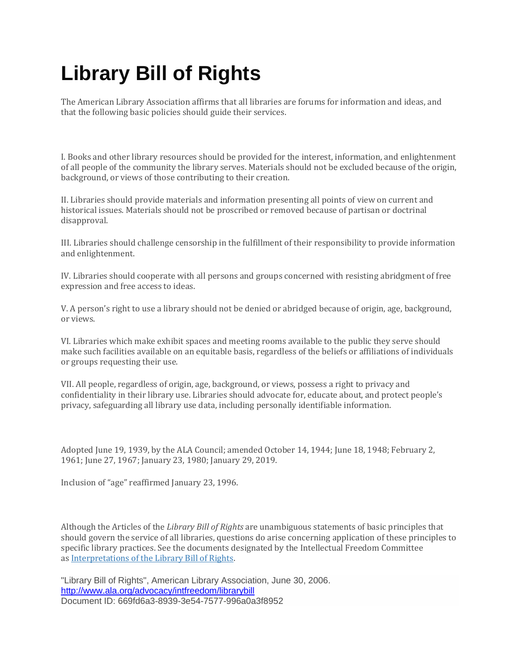# **Library Bill of Rights**

The American Library Association affirms that all libraries are forums for information and ideas, and that the following basic policies should guide their services.

I. Books and other library resources should be provided for the interest, information, and enlightenment of all people of the community the library serves. Materials should not be excluded because of the origin, background, or views of those contributing to their creation.

II. Libraries should provide materials and information presenting all points of view on current and historical issues. Materials should not be proscribed or removed because of partisan or doctrinal disapproval.

III. Libraries should challenge censorship in the fulfillment of their responsibility to provide information and enlightenment.

IV. Libraries should cooperate with all persons and groups concerned with resisting abridgment of free expression and free access to ideas.

V. A person's right to use a library should not be denied or abridged because of origin, age, background, or views.

VI. Libraries which make exhibit spaces and meeting rooms available to the public they serve should make such facilities available on an equitable basis, regardless of the beliefs or affiliations of individuals or groups requesting their use.

VII. All people, regardless of origin, age, background, or views, possess a right to privacy and confidentiality in their library use. Libraries should advocate for, educate about, and protect people's privacy, safeguarding all library use data, including personally identifiable information.

Adopted June 19, 1939, by the ALA Council; amended October 14, 1944; June 18, 1948; February 2, 1961; June 27, 1967; January 23, 1980; January 29, 2019.

Inclusion of "age" reaffirmed January 23, 1996.

Although the Articles of the *Library Bill of Rights* are unambiguous statements of basic principles that should govern the service of all libraries, questions do arise concerning application of these principles to specific library practices. See the documents designated by the Intellectual Freedom Committee as [Interpretations](http://www.ala.org/advocacy/intfreedom/librarybill/interpretations) of the Library Bill of Rights.

"Library Bill of Rights", American Library Association, June 30, 2006. <http://www.ala.org/advocacy/intfreedom/librarybill> Document ID: 669fd6a3-8939-3e54-7577-996a0a3f8952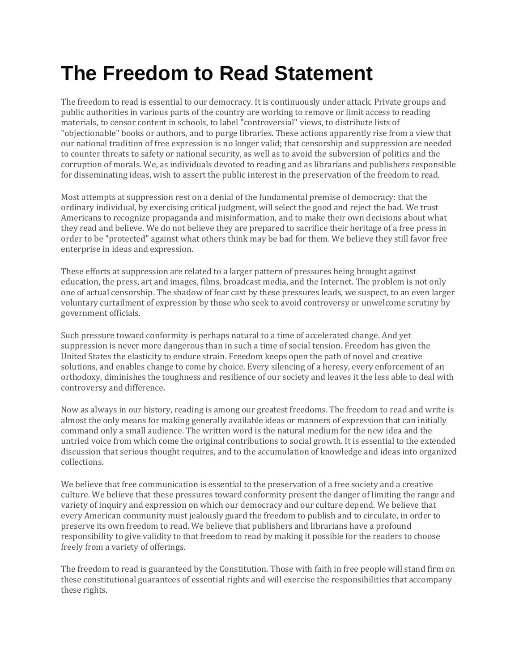# **The Freedom to Read Statement**

The freedom to read is essential to our democracy. It is continuously under attack. Private groups and public authorities in various parts of the country are working to remove or limit access to reading materials, to censor content in schools, to label "controversial" views, to distribute lists of "objectionable" books or authors, and to purge libraries. These actions apparently rise from a view that our national tradition of free expression is no longer valid; that censorship and suppression are needed to counter threats to safety or national security, as well as to avoid the subversion of politics and the corruption of morals. We, as individuals devoted to reading and as librarians and publishers responsible for disseminating ideas, wish to assert the public interest in the preservation of the freedom to read.

Most attempts at suppression rest on a denial of the fundamental premise of democracy: that the ordinary individual, by exercising critical judgment, will select the good and reject the bad. We trust Americans to recognize propaganda and misinformation, and to make their own decisions about what they read and believe. We do not believe they are prepared to sacrifice their heritage of a free press in order to be "protected" against what others think may be bad for them. We believe they still favor free enterprise in ideas and expression.

These efforts at suppression are related to a larger pattern of pressures being brought against education, the press, art and images, films, broadcast media, and the Internet. The problem is not only one of actual censorship. The shadow of fear cast by these pressures leads, we suspect, to an even larger voluntary curtailment of expression by those who seek to avoid controversy or unwelcome scrutiny by government officials.

Such pressure toward conformity is perhaps natural to a time of accelerated change. And yet suppression is never more dangerous than in such a time of social tension. Freedom has given the United States the elasticity to endure strain. Freedom keeps open the path of novel and creative solutions, and enables change to come by choice. Every silencing of a heresy, every enforcement of an orthodoxy, diminishes the toughness and resilience of our society and leaves it the less able to deal with controversy and difference.

Now as always in our history, reading is among our greatest freedoms. The freedom to read and write is almost the only means for making generally available ideas or manners of expression that can initially command only a small audience. The written word is the natural medium for the new idea and the untried voice from which come the original contributions to social growth. It is essential to the extended discussion that serious thought requires, and to the accumulation of knowledge and ideas into organized collections.

We believe that free communication is essential to the preservation of a free society and a creative culture. We believe that these pressures toward conformity present the danger of limiting the range and variety of inquiry and expression on which our democracy and our culture depend. We believe that every American community must jealously guard the freedom to publish and to circulate, in order to preserve its own freedom to read. We believe that publishers and librarians have a profound responsibility to give validity to that freedom to read by making it possible for the readers to choose freely from a variety of offerings.

The freedom to read is guaranteed by the Constitution. Those with faith in free people will stand firm on these constitutional guarantees of essential rights and will exercise the responsibilities that accompany these rights.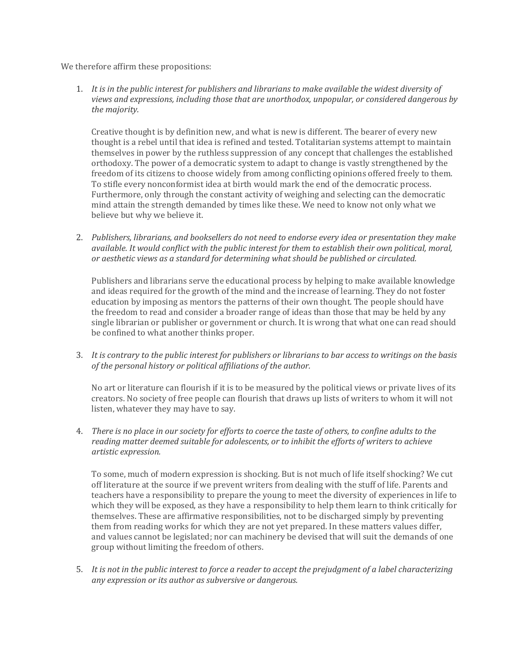We therefore affirm these propositions:

1. *It is in the public interest for publishers and librarians to make available the widest diversity of views and expressions, including those that are unorthodox, unpopular, or considered dangerous by the majority.*

Creative thought is by definition new, and what is new is different. The bearer of every new thought is a rebel until that idea is refined and tested. Totalitarian systems attempt to maintain themselves in power by the ruthless suppression of any concept that challenges the established orthodoxy. The power of a democratic system to adapt to change is vastly strengthened by the freedom of its citizens to choose widely from among conflicting opinions offered freely to them. To stifle every nonconformist idea at birth would mark the end of the democratic process. Furthermore, only through the constant activity of weighing and selecting can the democratic mind attain the strength demanded by times like these. We need to know not only what we believe but why we believe it.

2. *Publishers, librarians, and booksellers do not need to endorse every idea or presentation they make available. It would conflict with the public interest for them to establish their own political, moral, or aesthetic views as a standard for determining what should be published or circulated.*

Publishers and librarians serve the educational process by helping to make available knowledge and ideas required for the growth of the mind and the increase of learning. They do not foster education by imposing as mentors the patterns of their own thought. The people should have the freedom to read and consider a broader range of ideas than those that may be held by any single librarian or publisher or government or church. It is wrong that what one can read should be confined to what another thinks proper.

3. It is contrary to the public interest for publishers or librarians to bar access to writinas on the basis *of the personal history or political affiliations of the author.*

No art or literature can flourish if it is to be measured by the political views or private lives of its creators. No society of free people can flourish that draws up lists of writers to whom it will not listen, whatever they may have to say.

4. There is no place in our society for efforts to coerce the taste of others, to confine adults to the *reading matter deemed suitable for adolescents, or to inhibit the efforts of writers to achieve artistic expression.*

To some, much of modern expression is shocking. But is not much of life itself shocking? We cut off literature at the source if we prevent writers from dealing with the stuff of life. Parents and teachers have a responsibility to prepare the young to meet the diversity of experiences in life to which they will be exposed, as they have a responsibility to help them learn to think critically for themselves. These are affirmative responsibilities, not to be discharged simply by preventing them from reading works for which they are not yet prepared. In these matters values differ, and values cannot be legislated; nor can machinery be devised that will suit the demands of one group without limiting the freedom of others.

5. It is not in the public interest to force a reader to accept the prejudgment of a label characterizing *any expression or its author as subversive or dangerous.*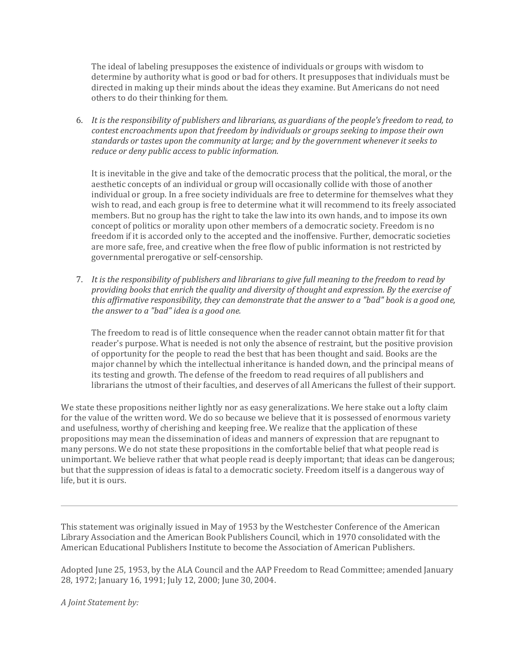The ideal of labeling presupposes the existence of individuals or groups with wisdom to determine by authority what is good or bad for others. It presupposes that individuals must be directed in making up their minds about the ideas they examine. But Americans do not need others to do their thinking for them.

6. It is the responsibility of publishers and librarians, as guardians of the people's freedom to read, to *contest encroachments upon that freedom by individuals or groups seeking to impose their own standards or tastes upon the community at large; and by the government whenever it seeks to reduce or deny public access to public information.*

It is inevitable in the give and take of the democratic process that the political, the moral, or the aesthetic concepts of an individual or group will occasionally collide with those of another individual or group. In a free society individuals are free to determine for themselves what they wish to read, and each group is free to determine what it will recommend to its freely associated members. But no group has the right to take the law into its own hands, and to impose its own concept of politics or morality upon other members of a democratic society. Freedom is no freedom if it is accorded only to the accepted and the inoffensive. Further, democratic societies are more safe, free, and creative when the free flow of public information is not restricted by governmental prerogative or self-censorship.

7. It is the responsibility of publishers and librarians to give full meaning to the freedom to read by *providing books that enrich the quality and diversity of thought and expression. By the exercise of this affirmative responsibility, they can demonstrate that the answer to a "bad" book is a good one, the answer to a "bad" idea is a good one.*

The freedom to read is of little consequence when the reader cannot obtain matter fit for that reader's purpose. What is needed is not only the absence of restraint, but the positive provision of opportunity for the people to read the best that has been thought and said. Books are the major channel by which the intellectual inheritance is handed down, and the principal means of its testing and growth. The defense of the freedom to read requires of all publishers and librarians the utmost of their faculties, and deserves of all Americans the fullest of their support.

We state these propositions neither lightly nor as easy generalizations. We here stake out a lofty claim for the value of the written word. We do so because we believe that it is possessed of enormous variety and usefulness, worthy of cherishing and keeping free. We realize that the application of these propositions may mean the dissemination of ideas and manners of expression that are repugnant to many persons. We do not state these propositions in the comfortable belief that what people read is unimportant. We believe rather that what people read is deeply important; that ideas can be dangerous; but that the suppression of ideas is fatal to a democratic society. Freedom itself is a dangerous way of life, but it is ours.

This statement was originally issued in May of 1953 by the Westchester Conference of the American Library Association and the American Book Publishers Council, which in 1970 consolidated with the American Educational Publishers Institute to become the Association of American Publishers.

Adopted June 25, 1953, by the ALA Council and the AAP Freedom to Read Committee; amended January 28, 1972; January 16, 1991; July 12, 2000; June 30, 2004.

*A Joint Statement by:*